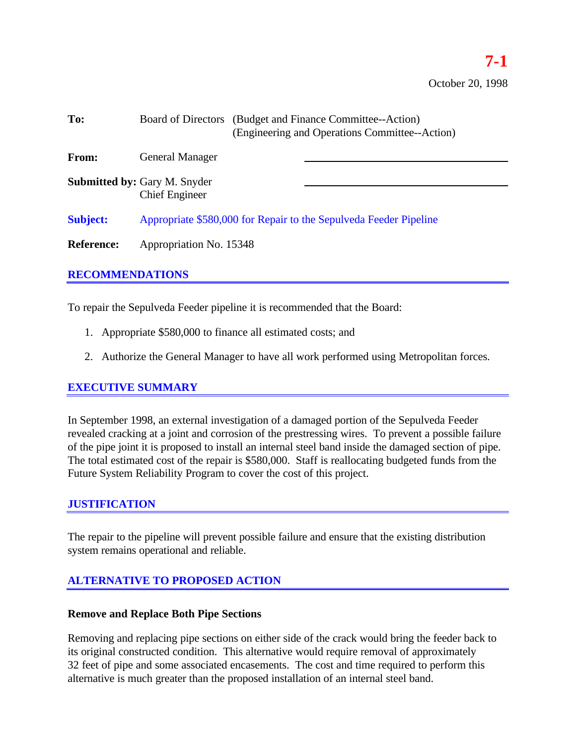| To:               | Board of Directors (Budget and Finance Committee--Action)<br>(Engineering and Operations Committee--Action) |  |  |
|-------------------|-------------------------------------------------------------------------------------------------------------|--|--|
| From:             | <b>General Manager</b>                                                                                      |  |  |
|                   | <b>Submitted by: Gary M. Snyder</b><br><b>Chief Engineer</b>                                                |  |  |
| <b>Subject:</b>   | Appropriate \$580,000 for Repair to the Sepulveda Feeder Pipeline                                           |  |  |
| <b>Reference:</b> | Appropriation No. 15348                                                                                     |  |  |

## **RECOMMENDATIONS**

To repair the Sepulveda Feeder pipeline it is recommended that the Board:

- 1. Appropriate \$580,000 to finance all estimated costs; and
- 2. Authorize the General Manager to have all work performed using Metropolitan forces.

## **EXECUTIVE SUMMARY**

In September 1998, an external investigation of a damaged portion of the Sepulveda Feeder revealed cracking at a joint and corrosion of the prestressing wires. To prevent a possible failure of the pipe joint it is proposed to install an internal steel band inside the damaged section of pipe. The total estimated cost of the repair is \$580,000. Staff is reallocating budgeted funds from the Future System Reliability Program to cover the cost of this project.

## **JUSTIFICATION**

The repair to the pipeline will prevent possible failure and ensure that the existing distribution system remains operational and reliable.

# **ALTERNATIVE TO PROPOSED ACTION**

#### **Remove and Replace Both Pipe Sections**

Removing and replacing pipe sections on either side of the crack would bring the feeder back to its original constructed condition. This alternative would require removal of approximately 32 feet of pipe and some associated encasements. The cost and time required to perform this alternative is much greater than the proposed installation of an internal steel band.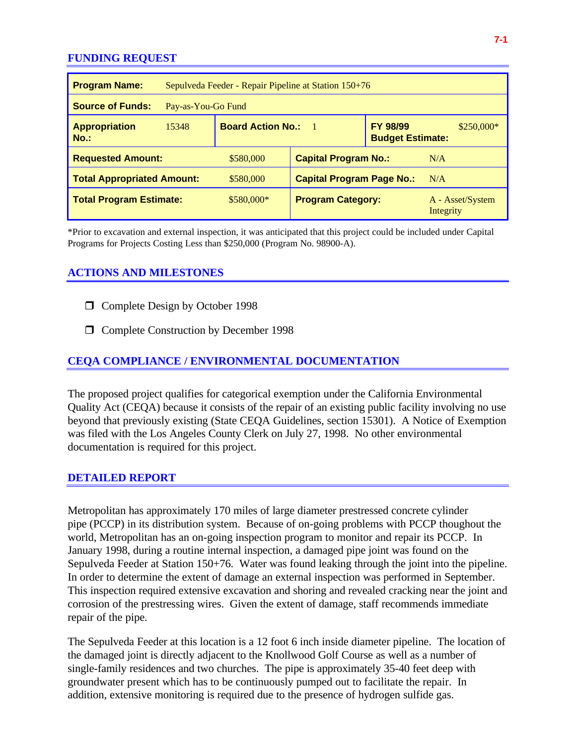#### **FUNDING REQUEST**

| <b>Program Name:</b>              | Sepulveda Feeder - Repair Pipeline at Station 150+76 |                                              |                                  |                                            |                               |  |
|-----------------------------------|------------------------------------------------------|----------------------------------------------|----------------------------------|--------------------------------------------|-------------------------------|--|
| <b>Source of Funds:</b>           | Pay-as-You-Go Fund                                   |                                              |                                  |                                            |                               |  |
| <b>Appropriation</b><br>$No.$ :   | 15348                                                | <b>Board Action No.:</b><br>$\blacksquare$ 1 |                                  | <b>FY 98/99</b><br><b>Budget Estimate:</b> | $$250,000*$                   |  |
| <b>Requested Amount:</b>          |                                                      | \$580,000                                    | <b>Capital Program No.:</b>      |                                            | N/A                           |  |
| <b>Total Appropriated Amount:</b> |                                                      | \$580,000                                    | <b>Capital Program Page No.:</b> |                                            | N/A                           |  |
| <b>Total Program Estimate:</b>    |                                                      | $$580,000*$                                  | <b>Program Category:</b>         |                                            | A - Asset/System<br>Integrity |  |

\*Prior to excavation and external inspection, it was anticipated that this project could be included under Capital Programs for Projects Costing Less than \$250,000 (Program No. 98900-A).

# **ACTIONS AND MILESTONES**

- $\Box$  Complete Design by October 1998
- □ Complete Construction by December 1998

## **CEQA COMPLIANCE / ENVIRONMENTAL DOCUMENTATION**

The proposed project qualifies for categorical exemption under the California Environmental Quality Act (CEQA) because it consists of the repair of an existing public facility involving no use beyond that previously existing (State CEQA Guidelines, section 15301). A Notice of Exemption was filed with the Los Angeles County Clerk on July 27, 1998. No other environmental documentation is required for this project.

#### **DETAILED REPORT**

Metropolitan has approximately 170 miles of large diameter prestressed concrete cylinder pipe (PCCP) in its distribution system. Because of on-going problems with PCCP thoughout the world, Metropolitan has an on-going inspection program to monitor and repair its PCCP. In January 1998, during a routine internal inspection, a damaged pipe joint was found on the Sepulveda Feeder at Station 150+76. Water was found leaking through the joint into the pipeline. In order to determine the extent of damage an external inspection was performed in September. This inspection required extensive excavation and shoring and revealed cracking near the joint and corrosion of the prestressing wires. Given the extent of damage, staff recommends immediate repair of the pipe.

The Sepulveda Feeder at this location is a 12 foot 6 inch inside diameter pipeline. The location of the damaged joint is directly adjacent to the Knollwood Golf Course as well as a number of single-family residences and two churches. The pipe is approximately 35-40 feet deep with groundwater present which has to be continuously pumped out to facilitate the repair. In addition, extensive monitoring is required due to the presence of hydrogen sulfide gas.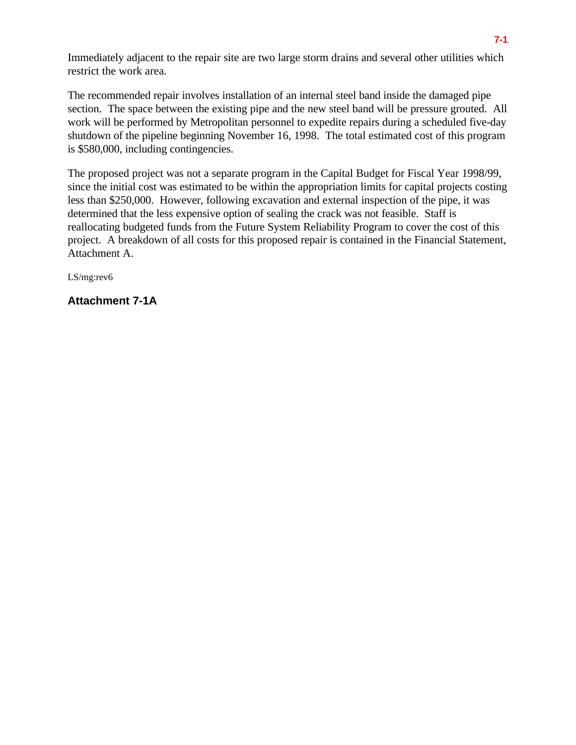Immediately adjacent to the repair site are two large storm drains and several other utilities which restrict the work area.

The recommended repair involves installation of an internal steel band inside the damaged pipe section. The space between the existing pipe and the new steel band will be pressure grouted. All work will be performed by Metropolitan personnel to expedite repairs during a scheduled five-day shutdown of the pipeline beginning November 16, 1998. The total estimated cost of this program is \$580,000, including contingencies.

The proposed project was not a separate program in the Capital Budget for Fiscal Year 1998/99, since the initial cost was estimated to be within the appropriation limits for capital projects costing less than \$250,000. However, following excavation and external inspection of the pipe, it was determined that the less expensive option of sealing the crack was not feasible. Staff is reallocating budgeted funds from the Future System Reliability Program to cover the cost of this project. A breakdown of all costs for this proposed repair is contained in the Financial Statement, Attachment A.

LS/mg:rev6

**Attachment 7-1A**